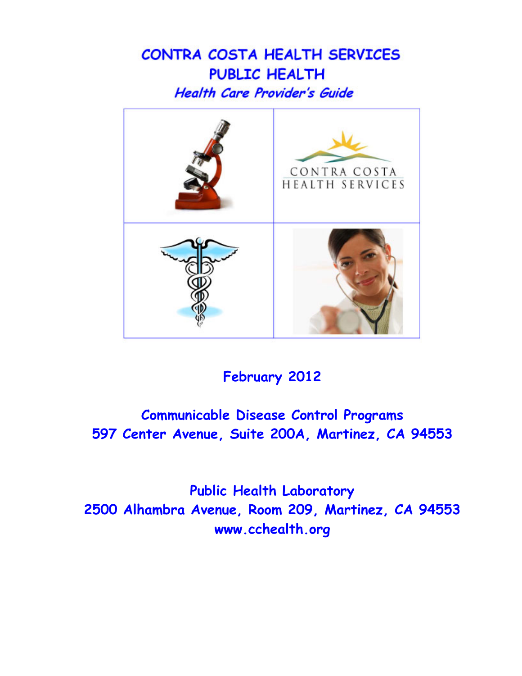# CONTRA COSTA HEALTH SERVICES **PUBLIC HEALTH Health Care Provider's Guide**



## **February 2012**

## **Communicable Disease Control Programs 597 Center Avenue, Suite 200A, Martinez, CA 94553**

**Public Health Laboratory 2500 Alhambra Avenue, Room 209, Martinez, CA 94553 www.cchealth.org**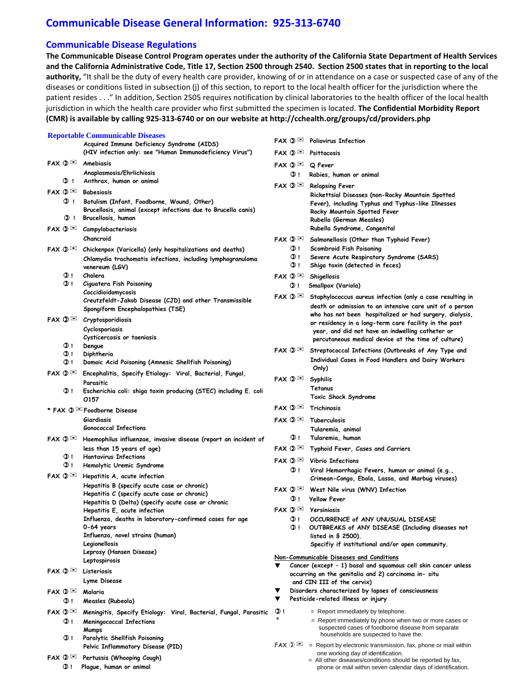## **Communicable Disease General Information: 925‐313‐6740**

## **Communicable Disease Regulations**

The Communicable Disease Control Program operates under the authority of the California State Department of Health Services and the California Administrative Code, Title 17, Section 2500 through 2540. Section 2500 states that in reporting to the local **authority,** "It shall be the duty of every health care provider, knowing of or in attendance on a case or suspected case of any of the diseases or conditions listed in subsection (j) of this section, to report to the local health officer for the jurisdiction where the patient resides . . ." In addition, Section 2505 requires notification by clinical laboratories to the health officer of the local health jurisdiction in which the health care provider who first submitted the specimen is located. **The Confidential Morbidity Report (CMR) is available by calling 925‐313‐6740 or on our website at http://cchealth.org/groups/cd/providers.php**

#### **Reportable Communicable Diseases**

|                                 | Acquired Immune Deficiency Syndrome (AIDS)<br>(HIV infection only: see "Human Immunodeficiency Virus") | ⊳ש kax<br>$FAX$ $\mathbb{O}$ $\boxtimes$ | Poliovirus Intection<br>Psittacosis                                                                        |
|---------------------------------|--------------------------------------------------------------------------------------------------------|------------------------------------------|------------------------------------------------------------------------------------------------------------|
| $FAX$ $\mathbb{O}$ $\boxtimes$  | Amebiasis                                                                                              |                                          |                                                                                                            |
|                                 | Anaplasmosis/Ehrlichiosis                                                                              | $FAX$ $\mathbb{O}$                       | Q Fever                                                                                                    |
| <b>O</b> 1                      | Anthrax, human or animal                                                                               | O ! .                                    | Rabies, human or animal                                                                                    |
| $FAX$ $\mathbb{D}$              | <b>Babesiosis</b>                                                                                      |                                          |                                                                                                            |
| OD 1.                           | Botulism (Infant, Foodborne, Wound, Other)                                                             |                                          | Rickettsial Diseases (non-Rocky Mountain Spotted                                                           |
|                                 | Brucellosis, animal (except infections due to Brucella canis)                                          |                                          | Fever), including Typhus and Typhus-like Illnesses<br>Rocky Mountain Spotted Fever                         |
| <b>O</b> !                      | Brucellosis, human                                                                                     |                                          | Rubella (German Measles)                                                                                   |
| $FAX$ $\mathbb{Q}$              | Campylobacteriosis                                                                                     |                                          | Rubella Syndrome, Congenital                                                                               |
|                                 | Chancroid                                                                                              | $FAX$ $\mathbb{Q}$                       | Salmonellosis (Other than Typhoid Fever)                                                                   |
| $FAX$ $\mathbb{Q}$              | Chickenpox (Varicella) (only hospitalizations and deaths)                                              | <b>O</b> !                               | Scombroid Fish Poisoning                                                                                   |
|                                 | Chlamydia trachomatis infections, including lymphogranuloma                                            | $\mathbf{Q}$ !                           | Severe Acute Respiratory Syndrome (SARS)                                                                   |
|                                 | venereum (LGV)                                                                                         | <b>O</b> !                               | Shiga toxin (detected in feces)                                                                            |
| O 1                             | Cholera                                                                                                | $FAX$ $\mathbb{Q}$                       | Shigellosis                                                                                                |
| O !                             | Ciguatera Fish Poisoning                                                                               | O !                                      | Smallpox (Variola)                                                                                         |
|                                 | Coccidioidomycosis<br>Creutzfeldt-Jakob Disease (CJD) and other Transmissible                          | FAX ① ⊠                                  | Staphylococcus aureus infection (only a case resulting in                                                  |
|                                 | Spongiform Encephalopathies (TSE)                                                                      |                                          | death or admission to an intensive care unit of a person                                                   |
| $FAX \mathbb{O} \cong$          | Cryptosporidiosis                                                                                      |                                          | who has not been hospitalized or had surgery, dialysis,                                                    |
|                                 | Cyclosporiasis                                                                                         |                                          | or residency in a long-term care facility in the past<br>year, and did not have an indwelling catheter or  |
|                                 | Cysticercosis or taeniasis                                                                             |                                          | percutaneous medical device at the time of culture)                                                        |
| 0 I                             | Dengue                                                                                                 |                                          | FAX $\mathbb{Q}$ $\mathbb{Z}$ Streptococcal Infections (Outbreaks of Any Type and                          |
| 0 I<br>O 1                      | Diphtheria<br>Domoic Acid Poisoning (Amnesic Shellfish Poisoning)                                      |                                          | Individual Cases in Food Handlers and Dairy Workers                                                        |
| $FAX$ $\mathbb{O}$              |                                                                                                        |                                          | Only)                                                                                                      |
|                                 | Encephalitis, Specify Etiology: Viral, Bacterial, Fungal,<br>Parasitic                                 | $FAX$ $\mathbb{O}$                       | <b>Syphilis</b>                                                                                            |
| <b>OD</b> 1                     | Escherichia coli: shiga toxin producing (STEC) including E. coli                                       |                                          | Tetanus                                                                                                    |
|                                 | 0157                                                                                                   |                                          | Toxic Shock Syndrome                                                                                       |
|                                 | * FAX 1 Soodborne Disease                                                                              | $FAX$ $\mathbb{O}$ $\boxtimes$           | Trichinosis                                                                                                |
|                                 | Giardiasis                                                                                             |                                          | $FAX \circled{0}$ Tuberculosis                                                                             |
|                                 | <b>Gonococcal Infections</b>                                                                           |                                          | Tularemia, animal                                                                                          |
| $FAX$ $\mathbb{O}$ $\mathbb{M}$ | Haemophilus influenzae, invasive disease (report an incident of                                        | $_{\odot}$ !                             | Tularemia, human                                                                                           |
| O !                             | less than 15 years of age)<br><b>Hantavirus Infections</b>                                             | $FAX$ $\mathbb{O}$ $\mathbb{M}$          | Typhoid Fever, Cases and Carriers                                                                          |
| $\mathbf{O}$ !                  | Hemolytic Uremic Syndrome                                                                              |                                          |                                                                                                            |
| $FAX$ $\mathbb{D}$              | Hepatitis A, acute infection                                                                           | $_{\odot}$ !                             | Viral Hemorrhagic Fevers, human or animal (e.g.,                                                           |
|                                 | Hepatitis B (specify acute case or chronic)                                                            |                                          | Crimean-Congo, Ebola, Lassa, and Marbug viruses)                                                           |
|                                 | Hepatitis C (specify acute case or chronic)                                                            |                                          | $FAX \circledcirc \cong$ West Nile virus (WNV) Infection                                                   |
|                                 | Hepatitis D (Delta) (specify acute case or chronic                                                     | <b>O</b> !                               | <b>Yellow Fever</b>                                                                                        |
|                                 | Hepatitis E, acute infection                                                                           |                                          |                                                                                                            |
|                                 | Influenza, deaths in laboratory-confirmed cases for age                                                | O 1                                      | OCCURRENCE of ANY UNUSUAL DISEASE                                                                          |
|                                 | 0-64 years<br>Influenza, novel strains (human)                                                         | Q !                                      | OUTBREAKS of ANY DISEASE (Including diseases not<br>listed in $$2500$ ).                                   |
|                                 | Legionellosis                                                                                          |                                          | Specifiy if institutional and/or open community.                                                           |
|                                 | Leprosy (Hansen Disease)                                                                               |                                          |                                                                                                            |
|                                 | Leptospirosis                                                                                          |                                          | Non-Communicable Diseases and Conditions<br>Cancer (except - 1) basal and squamous cell skin cancer unless |
| $FAX$ $\mathbb{O}$              | Listeriosis                                                                                            |                                          | occurring on the genitalia and 2) carcinoma in-situ                                                        |
|                                 | Lyme Disease                                                                                           |                                          | and CIN III of the cervix)                                                                                 |
| $FAX$ $\mathbb{D}$              | Malaria                                                                                                |                                          | Disorders characterized by lapses of consciousness                                                         |
| O 1                             | Measles (Rubeola)                                                                                      |                                          | Pesticide-related illness or injury                                                                        |
| $FAX$ $\mathbb{Q}$ $\boxtimes$  | Meningitis, Specify Etiology: Viral, Bacterial, Fungal, Parasitic                                      | $Q$ !                                    | = Report immediately by telephone.                                                                         |
| O 1                             | <b>Meningococcal Infections</b>                                                                        |                                          | = Report immediately by phone when two or more cases or                                                    |
|                                 | Mumps                                                                                                  |                                          | suspected cases of foodborne disease from separate<br>households are suspected to have the.                |
| 0 I                             | Paralytic Shellfish Poisoning<br>Pelvic Inflammatory Disease (PID)                                     | $FAX$ $\circledcirc$ $\approx$           | = Report by electronic transmission, fax, phone or mail within                                             |
| $FAX \mathbb{Q} \cong$          |                                                                                                        |                                          | one working day of identification.                                                                         |
|                                 | Pertussis (Whooping Cough)                                                                             |                                          | All other diseases conditions should be reported by fax                                                    |

 **! Plague, human or animal** 

|                                                                         | FAX $\mathbf{0} \boxtimes$ Poliovirus Infection                                                                                                                                                                                                                                                                                                      |  |  |  |
|-------------------------------------------------------------------------|------------------------------------------------------------------------------------------------------------------------------------------------------------------------------------------------------------------------------------------------------------------------------------------------------------------------------------------------------|--|--|--|
| $FAX$ $\mathbb{O}$                                                      | Psittacosis                                                                                                                                                                                                                                                                                                                                          |  |  |  |
| $FAX \mathbb{O} \boxtimes \mathbb{Q}$ Fever<br><b>O</b> !               | Rabies, human or animal                                                                                                                                                                                                                                                                                                                              |  |  |  |
| $FAX$ $\mathbb{O}$                                                      | <b>Relapsing Fever</b><br>Rickettsial Diseases (non-Rocky Mountain Spotted<br>Fever), including Typhus and Typhus-like Illnesses<br>Rocky Mountain Spotted Fever<br>Rubella (German Measles)<br>Rubella Syndrome, Congenital                                                                                                                         |  |  |  |
| $FAX$ $\mathbb{O}$ $\boxtimes$<br>$\mathbf{Q}$ !<br><b>OD</b> !<br>00 I | Salmonellosis (Other than Typhoid Fever)<br>Scombroid Fish Poisoning<br>Severe Acute Respiratory Syndrome (SARS)<br>Shiga toxin (detected in feces)                                                                                                                                                                                                  |  |  |  |
| $FAX$ $\mathbb{O}$ $\boxtimes$<br>$\sigma$ !                            | Shigellosis<br>Smallpox (Variola)                                                                                                                                                                                                                                                                                                                    |  |  |  |
| $FAX$ $\mathbb{O}$ $\boxtimes$                                          | Staphylococcus aureus infection (only a case resulting in<br>death or admission to an intensive care unit of a person<br>who has not been hospitalized or had surgery, dialysis,<br>or residency in a long-term care facility in the past<br>year, and did not have an indwelling catheter or<br>percutaneous medical device at the time of culture) |  |  |  |
| FAX $\mathbf{0} \boxtimes$                                              | Streptococcal Infections (Outbreaks of Any Type and<br>Individual Cases in Food Handlers and Dairy Workers<br>Only)                                                                                                                                                                                                                                  |  |  |  |
| $FAX$ $\mathbb{O}$ $\boxtimes$                                          | Syphilis<br>Tetanus<br>Toxic Shock Syndrome                                                                                                                                                                                                                                                                                                          |  |  |  |
| $FAX$ $\mathbb{O}$ $\boxtimes$                                          | Trichinosis                                                                                                                                                                                                                                                                                                                                          |  |  |  |
| $FAX$ $\mathbb{O}$ $\boxtimes$<br>O !                                   | Tuberculosis<br>Tularemia, animal<br>Tularemia, human                                                                                                                                                                                                                                                                                                |  |  |  |
| $FAX$ $\mathbb{O}$ $\boxtimes$                                          | Typhoid Fever, Cases and Carriers                                                                                                                                                                                                                                                                                                                    |  |  |  |
| $FAX$ $\mathbb{O}$ $\boxtimes$<br>O !                                   | <b>Vibrio Infections</b><br>Viral Hemorrhagic Fevers, human or animal (e.g.,<br>Crimean-Congo, Ebola, Lassa, and Marbug viruses)                                                                                                                                                                                                                     |  |  |  |
| $FAX$ $\mathbb{O}$<br><b>OD</b> !                                       | West Nile virus (WNV) Infection<br><b>Yellow Fever</b>                                                                                                                                                                                                                                                                                               |  |  |  |
| $FAX$ $\mathbb{O}$<br><b>O</b> !<br>O !                                 | <b>Yersiniosis</b><br>OCCURRENCE of ANY UNUSUAL DISEASE<br>OUTBREAKS of ANY DISEASE (Including diseases not<br>listed in § 2500).<br>Specifiy if institutional and/or open community.                                                                                                                                                                |  |  |  |
| Non-Communicable Diseases and Conditions                                |                                                                                                                                                                                                                                                                                                                                                      |  |  |  |

- **occurring on the genitalia and 2) carcinoma in- situ and CIN III of the cervix)**
- **Disorders characterized by lapses of consciousness**
- **Pesticide-related illness or injury**
- **!** = Report immediately by telephone.
	- = Report immediately by phone when two or more cases or suspected cases of foodborne disease from separate households are suspected to have the.
- $FAX \circledcirc \cong$  = Report by electronic transmission, fax, phone or mail within one working day of identification.
	- = All other diseases/conditions should be reported by fax, phone or mail within seven calendar days of identification.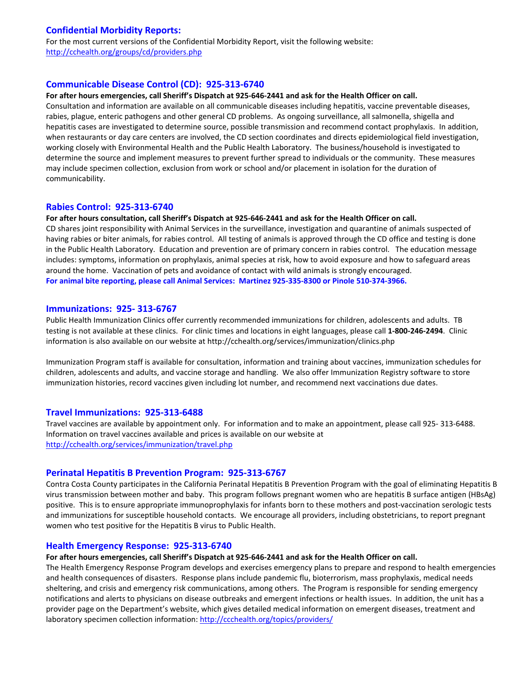## **Confidential Morbidity Reports:**

For the most current versions of the Confidential Morbidity Report, visit the following website: http://cchealth.org/groups/cd/providers.php

### **Communicable Disease Control (CD): 925‐313‐6740**

#### For after hours emergencies, call Sheriff's Dispatch at 925-646-2441 and ask for the Health Officer on call.

Consultation and information are available on all communicable diseases including hepatitis, vaccine preventable diseases, rabies, plague, enteric pathogens and other general CD problems. As ongoing surveillance, all salmonella, shigella and hepatitis cases are investigated to determine source, possible transmission and recommend contact prophylaxis. In addition, when restaurants or day care centers are involved, the CD section coordinates and directs epidemiological field investigation, working closely with Environmental Health and the Public Health Laboratory. The business/household is investigated to determine the source and implement measures to prevent further spread to individuals or the community. These measures may include specimen collection, exclusion from work or school and/or placement in isolation for the duration of communicability.

#### **Rabies Control: 925‐313‐6740**

#### For after hours consultation, call Sheriff's Dispatch at 925-646-2441 and ask for the Health Officer on call.

CD shares joint responsibility with Animal Services in the surveillance, investigation and quarantine of animals suspected of having rabies or biter animals, for rabies control. All testing of animals is approved through the CD office and testing is done in the Public Health Laboratory. Education and prevention are of primary concern in rabies control. The education message includes: symptoms, information on prophylaxis, animal species at risk, how to avoid exposure and how to safeguard areas around the home. Vaccination of pets and avoidance of contact with wild animals is strongly encouraged. For animal bite reporting, please call Animal Services: Martinez 925-335-8300 or Pinole 510-374-3966.

#### **Immunizations: 925‐ 313‐6767**

Public Health Immunization Clinics offer currently recommended immunizations for children, adolescents and adults. TB testing is not available at these clinics. For clinic times and locations in eight languages, please call **1‐800‐246‐2494**. Clinic information is also available on our website at http://cchealth.org/services/immunization/clinics.php

Immunization Program staff is available for consultation, information and training about vaccines, immunization schedules for children, adolescents and adults, and vaccine storage and handling. We also offer Immunization Registry software to store immunization histories, record vaccines given including lot number, and recommend next vaccinations due dates.

#### **Travel Immunizations: 925‐313‐6488**

Travel vaccines are available by appointment only. For information and to make an appointment, please call 925‐ 313‐6488. Information on travel vaccines available and prices is available on our website at http://cchealth.org/services/immunization/travel.php

#### **Perinatal Hepatitis B Prevention Program: 925‐313‐6767**

Contra Costa County participates in the California Perinatal Hepatitis B Prevention Program with the goal of eliminating Hepatitis B virus transmission between mother and baby. This program follows pregnant women who are hepatitis B surface antigen (HBsAg) positive. This is to ensure appropriate immunoprophylaxis for infants born to these mothers and post-vaccination serologic tests and immunizations for susceptible household contacts. We encourage all providers, including obstetricians, to report pregnant women who test positive for the Hepatitis B virus to Public Health.

#### **Health Emergency Response: 925‐313‐6740**

#### For after hours emergencies, call Sheriff's Dispatch at 925-646-2441 and ask for the Health Officer on call.

The Health Emergency Response Program develops and exercises emergency plans to prepare and respond to health emergencies and health consequences of disasters. Response plans include pandemic flu, bioterrorism, mass prophylaxis, medical needs sheltering, and crisis and emergency risk communications, among others. The Program is responsible for sending emergency notifications and alerts to physicians on disease outbreaks and emergent infections or health issues. In addition, the unit has a provider page on the Department's website, which gives detailed medical information on emergent diseases, treatment and laboratory specimen collection information: http://ccchealth.org/topics/providers/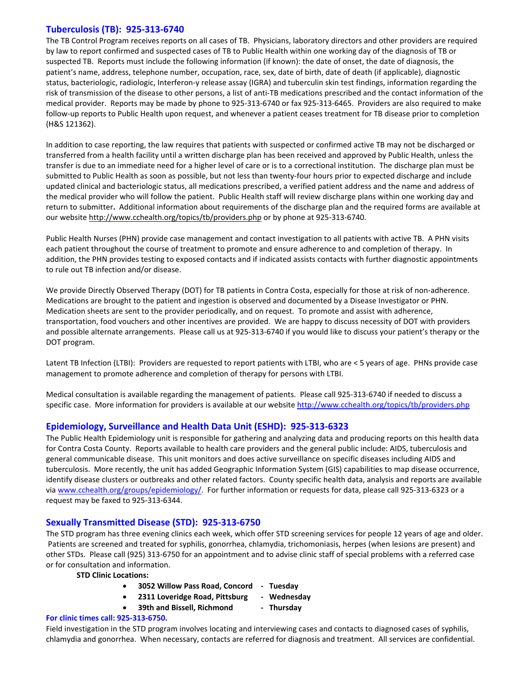## **Tuberculosis (TB): 925‐313‐6740**

The TB Control Program receives reports on all cases of TB. Physicians, laboratory directors and other providers are required by law to report confirmed and suspected cases of TB to Public Health within one working day of the diagnosis of TB or suspected TB. Reports must include the following information (if known): the date of onset, the date of diagnosis, the patient's name, address, telephone number, occupation, race, sex, date of birth, date of death (if applicable), diagnostic status, bacteriologic, radiologic, Interferon‐y release assay (IGRA) and tuberculin skin test findings, information regarding the risk of transmission of the disease to other persons, a list of anti‐TB medications prescribed and the contact information of the medical provider. Reports may be made by phone to 925‐313‐6740 or fax 925‐313‐6465. Providers are also required to make follow‐up reports to Public Health upon request, and whenever a patient ceases treatment for TB disease prior to completion (H&S 121362).

In addition to case reporting, the law requires that patients with suspected or confirmed active TB may not be discharged or transferred from a health facility until a written discharge plan has been received and approved by Public Health, unless the transfer is due to an immediate need for a higher level of care or is to a correctional institution. The discharge plan must be submitted to Public Health as soon as possible, but not less than twenty-four hours prior to expected discharge and include updated clinical and bacteriologic status, all medications prescribed, a verified patient address and the name and address of the medical provider who will follow the patient. Public Health staff will review discharge plans within one working day and return to submitter**.** Additional information about requirements of the discharge plan and the required forms are available at our website http://www.cchealth.org/topics/tb/providers.php or by phone at 925-313-6740.

Public Health Nurses (PHN) provide case management and contact investigation to all patients with active TB. A PHN visits each patient throughout the course of treatment to promote and ensure adherence to and completion of therapy. In addition, the PHN provides testing to exposed contacts and if indicated assists contacts with further diagnostic appointments to rule out TB infection and/or disease.

We provide Directly Observed Therapy (DOT) for TB patients in Contra Costa, especially for those at risk of non-adherence. Medications are brought to the patient and ingestion is observed and documented by a Disease Investigator or PHN. Medication sheets are sent to the provider periodically, and on request. To promote and assist with adherence, transportation, food vouchers and other incentives are provided. We are happy to discuss necessity of DOT with providers and possible alternate arrangements. Please call us at 925‐313‐6740 if you would like to discuss your patient's therapy or the DOT program.

Latent TB Infection (LTBI): Providers are requested to report patients with LTBI, who are < 5 years of age. PHNs provide case management to promote adherence and completion of therapy for persons with LTBI.

Medical consultation is available regarding the management of patients. Please call 925‐313‐6740 if needed to discuss a specific case. More information for providers is available at our website http://www.cchealth.org/topics/tb/providers.php

## **Epidemiology, Surveillance and Health Data Unit (ESHD): 925‐313‐6323**

The Public Health Epidemiology unit is responsible for gathering and analyzing data and producing reports on this health data for Contra Costa County. Reports available to health care providers and the general public include: AIDS, tuberculosis and general communicable disease. This unit monitors and does active surveillance on specific diseases including AIDS and tuberculosis. More recently, the unit has added Geographic Information System (GIS) capabilities to map disease occurrence, identify disease clusters or outbreaks and other related factors. County specific health data, analysis and reports are available via www.cchealth.org/groups/epidemiology/. For further information or requests for data, please call 925-313-6323 or a request may be faxed to 925‐313‐6344.

## **Sexually Transmitted Disease (STD): 925‐313‐6750**

The STD program has three evening clinics each week, which offer STD screening services for people 12 years of age and older. Patients are screened and treated for syphilis, gonorrhea, chlamydia, trichomoniasis, herpes (when lesions are present) and other STDs. Please call (925) 313‐6750 for an appointment and to advise clinic staff of special problems with a referred case or for consultation and information.

**STD Clinic Locations:**

- **3052 Willow Pass Road, Concord ‐ Tuesday**
- **2311 Loveridge Road, Pittsburg ‐ Wednesday**
	- **39th and Bissell, Richmond ‐ Thursday**

#### **For clinic times call: 925‐313‐6750.**

Field investigation in the STD program involves locating and interviewing cases and contacts to diagnosed cases of syphilis, chlamydia and gonorrhea. When necessary, contacts are referred for diagnosis and treatment. All services are confidential.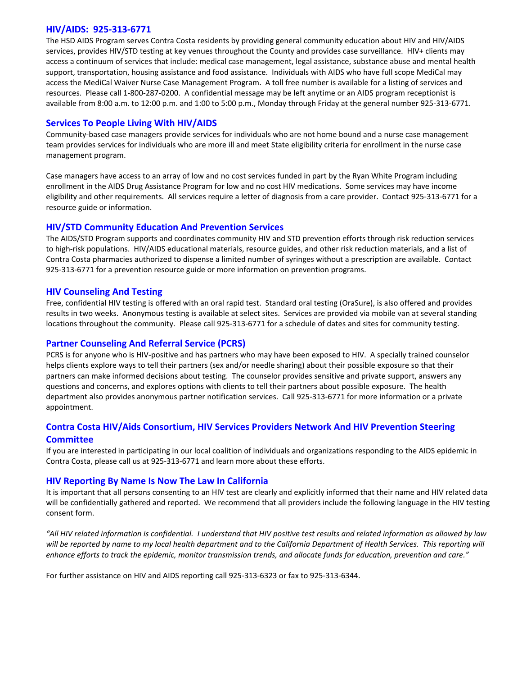### **HIV/AIDS: 925‐313‐6771**

The HSD AIDS Program serves Contra Costa residents by providing general community education about HIV and HIV/AIDS services, provides HIV/STD testing at key venues throughout the County and provides case surveillance. HIV+ clients may access a continuum of services that include: medical case management, legal assistance, substance abuse and mental health support, transportation, housing assistance and food assistance. Individuals with AIDS who have full scope MediCal may access the MediCal Waiver Nurse Case Management Program. A toll free number is available for a listing of services and resources. Please call 1‐800‐287‐0200. A confidential message may be left anytime or an AIDS program receptionist is available from 8:00 a.m. to 12:00 p.m. and 1:00 to 5:00 p.m., Monday through Friday at the general number 925‐313‐6771.

## **Services To People Living With HIV/AIDS**

Community‐based case managers provide services for individuals who are not home bound and a nurse case management team provides services for individuals who are more ill and meet State eligibility criteria for enrollment in the nurse case management program.

Case managers have access to an array of low and no cost services funded in part by the Ryan White Program including enrollment in the AIDS Drug Assistance Program for low and no cost HIV medications. Some services may have income eligibility and other requirements. All services require a letter of diagnosis from a care provider. Contact 925‐313‐6771 for a resource guide or information.

## **HIV/STD Community Education And Prevention Services**

The AIDS/STD Program supports and coordinates community HIV and STD prevention efforts through risk reduction services to high-risk populations. HIV/AIDS educational materials, resource guides, and other risk reduction materials, and a list of Contra Costa pharmacies authorized to dispense a limited number of syringes without a prescription are available. Contact 925‐313‐6771 for a prevention resource guide or more information on prevention programs.

## **HIV Counseling And Testing**

Free, confidential HIV testing is offered with an oral rapid test. Standard oral testing (OraSure), is also offered and provides results in two weeks. Anonymous testing is available at select sites. Services are provided via mobile van at several standing locations throughout the community. Please call 925‐313‐6771 for a schedule of dates and sites for community testing.

## **Partner Counseling And Referral Service (PCRS)**

PCRS is for anyone who is HIV‐positive and has partners who may have been exposed to HIV. A specially trained counselor helps clients explore ways to tell their partners (sex and/or needle sharing) about their possible exposure so that their partners can make informed decisions about testing. The counselor provides sensitive and private support, answers any questions and concerns, and explores options with clients to tell their partners about possible exposure. The health department also provides anonymous partner notification services. Call 925‐313‐6771 for more information or a private appointment.

## **Contra Costa HIV/Aids Consortium, HIV Services Providers Network And HIV Prevention Steering Committee**

If you are interested in participating in our local coalition of individuals and organizations responding to the AIDS epidemic in Contra Costa, please call us at 925‐313‐6771 and learn more about these efforts.

## **HIV Reporting By Name Is Now The Law In California**

It is important that all persons consenting to an HIV test are clearly and explicitly informed that their name and HIV related data will be confidentially gathered and reported. We recommend that all providers include the following language in the HIV testing consent form.

"All HIV related information is confidential. I understand that HIV positive test results and related information as allowed by law will be reported by name to my local health department and to the California Department of Health Services. This reporting will enhance efforts to track the epidemic, monitor transmission trends, and allocate funds for education, prevention and care."

For further assistance on HIV and AIDS reporting call 925‐313‐6323 or fax to 925‐313‐6344.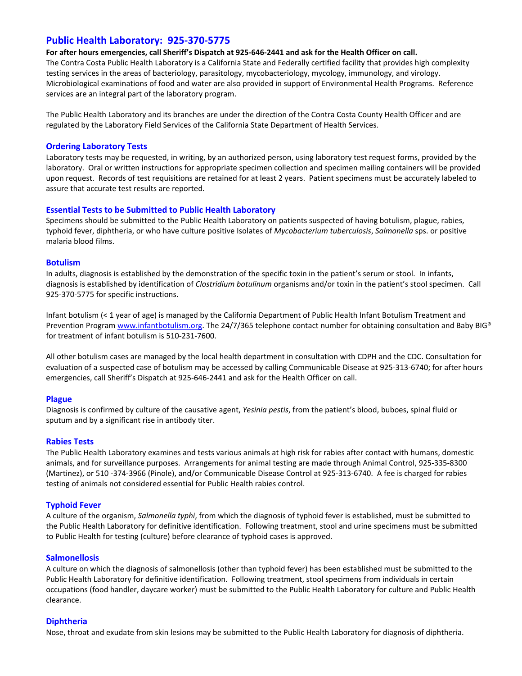## **Public Health Laboratory: 925‐370‐5775**

For after hours emergencies, call Sheriff's Dispatch at 925-646-2441 and ask for the Health Officer on call. The Contra Costa Public Health Laboratory is a California State and Federally certified facility that provides high complexity testing services in the areas of bacteriology, parasitology, mycobacteriology, mycology, immunology, and virology. Microbiological examinations of food and water are also provided in support of Environmental Health Programs. Reference services are an integral part of the laboratory program.

The Public Health Laboratory and its branches are under the direction of the Contra Costa County Health Officer and are regulated by the Laboratory Field Services of the California State Department of Health Services.

#### **Ordering Laboratory Tests**

Laboratory tests may be requested, in writing, by an authorized person, using laboratory test request forms, provided by the laboratory. Oral or written instructions for appropriate specimen collection and specimen mailing containers will be provided upon request. Records of test requisitions are retained for at least 2 years. Patient specimens must be accurately labeled to assure that accurate test results are reported.

#### **Essential Tests to be Submitted to Public Health Laboratory**

Specimens should be submitted to the Public Health Laboratory on patients suspected of having botulism, plague, rabies, typhoid fever, diphtheria, or who have culture positive Isolates of *Mycobacterium tuberculosis*, *Salmonella* sps. or positive malaria blood films.

#### **Botulism**

In adults, diagnosis is established by the demonstration of the specific toxin in the patient's serum or stool. In infants, diagnosis is established by identification of *Clostridium botulinum* organisms and/or toxin in the patient's stool specimen. Call 925-370-5775 for specific instructions.

Infant botulism (< 1 year of age) is managed by the California Department of Public Health Infant Botulism Treatment and Prevention Program www.infantbotulism.org. The 24/7/365 telephone contact number for obtaining consultation and Baby BIG<sup>®</sup> for treatment of infant botulism is 510‐231‐7600.

All other botulism cases are managed by the local health department in consultation with CDPH and the CDC. Consultation for evaluation of a suspected case of botulism may be accessed by calling Communicable Disease at 925‐313‐6740; for after hours emergencies, call Sheriff's Dispatch at 925‐646‐2441 and ask for the Health Officer on call.

#### **Plague**

Diagnosis is confirmed by culture of the causative agent, *Yesinia pestis*, from the patient's blood, buboes, spinal fluid or sputum and by a significant rise in antibody titer.

#### **Rabies Tests**

The Public Health Laboratory examines and tests various animals at high risk for rabies after contact with humans, domestic animals, and for surveillance purposes. Arrangements for animal testing are made through Animal Control, 925‐335‐8300 (Martinez), or 510 ‐374‐3966 (Pinole), and/or Communicable Disease Control at 925‐313‐6740. A fee is charged for rabies testing of animals not considered essential for Public Health rabies control.

#### **Typhoid Fever**

A culture of the organism, *Salmonella typhi*, from which the diagnosis of typhoid fever is established, must be submitted to the Public Health Laboratory for definitive identification. Following treatment, stool and urine specimens must be submitted to Public Health for testing (culture) before clearance of typhoid cases is approved.

#### **Salmonellosis**

A culture on which the diagnosis of salmonellosis (other than typhoid fever) has been established must be submitted to the Public Health Laboratory for definitive identification. Following treatment, stool specimens from individuals in certain occupations (food handler, daycare worker) must be submitted to the Public Health Laboratory for culture and Public Health clearance.

#### **Diphtheria**

Nose, throat and exudate from skin lesions may be submitted to the Public Health Laboratory for diagnosis of diphtheria.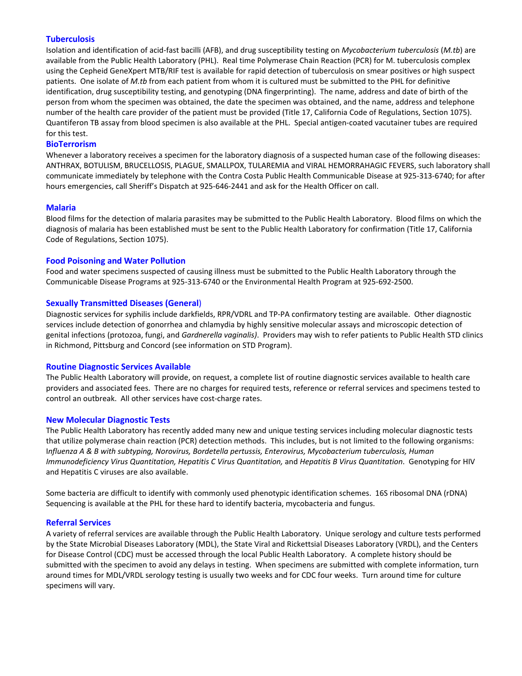#### **Tuberculosis**

Isolation and identification of acid‐fast bacilli (AFB), and drug susceptibility testing on *Mycobacterium tuberculosis* (*M.tb*) are available from the Public Health Laboratory (PHL). Real time Polymerase Chain Reaction (PCR) for M. tuberculosis complex using the Cepheid GeneXpert MTB/RIF test is available for rapid detection of tuberculosis on smear positives or high suspect patients. One isolate of *M.tb* from each patient from whom it is cultured must be submitted to the PHL for definitive identification, drug susceptibility testing, and genotyping (DNA fingerprinting). The name, address and date of birth of the person from whom the specimen was obtained, the date the specimen was obtained, and the name, address and telephone number of the health care provider of the patient must be provided (Title 17, California Code of Regulations, Section 1075). Quantiferon TB assay from blood specimen is also available at the PHL. Special antigen‐coated vacutainer tubes are required for this test.

#### **BioTerrorism**

Whenever a laboratory receives a specimen for the laboratory diagnosis of a suspected human case of the following diseases: ANTHRAX, BOTULISM, BRUCELLOSIS, PLAGUE, SMALLPOX, TULAREMIA and VIRAL HEMORRAHAGIC FEVERS, such laboratory shall communicate immediately by telephone with the Contra Costa Public Health Communicable Disease at 925‐313‐6740; for after hours emergencies, call Sheriff's Dispatch at 925‐646‐2441 and ask for the Health Officer on call.

#### **Malaria**

Blood films for the detection of malaria parasites may be submitted to the Public Health Laboratory. Blood films on which the diagnosis of malaria has been established must be sent to the Public Health Laboratory for confirmation (Title 17, California Code of Regulations, Section 1075).

#### **Food Poisoning and Water Pollution**

Food and water specimens suspected of causing illness must be submitted to the Public Health Laboratory through the Communicable Disease Programs at 925‐313‐6740 or the Environmental Health Program at 925‐692‐2500.

#### **Sexually Transmitted Diseases (General**)

Diagnostic services for syphilis include darkfields, RPR/VDRL and TP‐PA confirmatory testing are available. Other diagnostic services include detection of gonorrhea and chlamydia by highly sensitive molecular assays and microscopic detection of genital infections (protozoa, fungi, and *Gardnerella vaginalis)*. Providers may wish to refer patients to Public Health STD clinics in Richmond, Pittsburg and Concord (see information on STD Program).

#### **Routine Diagnostic Services Available**

The Public Health Laboratory will provide, on request, a complete list of routine diagnostic services available to health care providers and associated fees. There are no charges for required tests, reference or referral services and specimens tested to control an outbreak. All other services have cost-charge rates.

#### **New Molecular Diagnostic Tests**

The Public Health Laboratory has recently added many new and unique testing services including molecular diagnostic tests that utilize polymerase chain reaction (PCR) detection methods. This includes, but is not limited to the following organisms: I*nfluenza A & B with subtyping, Norovirus, Bordetella pertussis, Enterovirus, Mycobacterium tuberculosis, Human Immunodeficiency Virus Quantitation, Hepatitis C Virus Quantitation,* and *Hepatitis B Virus Quantitation*. Genotyping for HIV and Hepatitis C viruses are also available.

Some bacteria are difficult to identify with commonly used phenotypic identification schemes. 16S ribosomal DNA (rDNA) Sequencing is available at the PHL for these hard to identify bacteria, mycobacteria and fungus.

#### **Referral Services**

A variety of referral services are available through the Public Health Laboratory. Unique serology and culture tests performed by the State Microbial Diseases Laboratory (MDL), the State Viral and Rickettsial Diseases Laboratory (VRDL), and the Centers for Disease Control (CDC) must be accessed through the local Public Health Laboratory. A complete history should be submitted with the specimen to avoid any delays in testing. When specimens are submitted with complete information, turn around times for MDL/VRDL serology testing is usually two weeks and for CDC four weeks. Turn around time for culture specimens will vary.